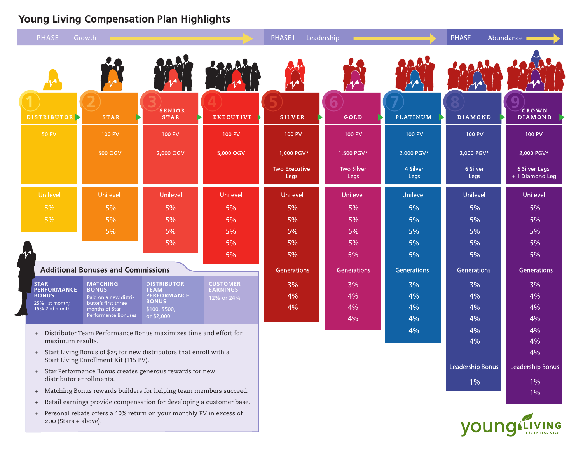# **Young Living Compensation Plan Highlights**

| PHASE I - Growth                                                                                              |                                       |                                   | <b>PHASE II - Leadership</b>  |                              |                           | PHASE III - Abundance |                  |                                 |
|---------------------------------------------------------------------------------------------------------------|---------------------------------------|-----------------------------------|-------------------------------|------------------------------|---------------------------|-----------------------|------------------|---------------------------------|
|                                                                                                               |                                       |                                   |                               |                              |                           |                       |                  |                                 |
| DISTRIBUTOR >                                                                                                 | <b>STAR</b>                           | <b>SENIOR</b><br><b>STAR</b>      | <b>EXECUTIVE</b>              | <b>SILVER</b>                | GOLD                      | <b>PLATINUM</b>       | <b>DIAMOND</b>   | CROWN<br>DIAMOND                |
| <b>50 PV</b>                                                                                                  | <b>100 PV</b>                         | <b>100 PV</b>                     | <b>100 PV</b>                 | <b>100 PV</b>                | 100 PV                    | <b>100 PV</b>         | <b>100 PV</b>    | <b>100 PV</b>                   |
|                                                                                                               | 500 OGV                               | 2,000 OGV                         | 5,000 OGV                     | 1,000 PGV*                   | 1,500 PGV*                | 2,000 PGV*            | 2,000 PGV*       | 2,000 PGV*                      |
|                                                                                                               |                                       |                                   |                               | <b>Two Executive</b><br>Legs | <b>Two Silver</b><br>Legs | 4 Silver<br>Legs      | 6 Silver<br>Legs | 6 Silver Legs<br>+1 Diamond Leg |
| Unilevel                                                                                                      | Unilevel                              | Unilevel                          | Unilevel                      | Unilevel                     | Unilevel                  | Unilevel              | Unilevel         | Unilevel                        |
| 5%                                                                                                            | 5%                                    | 5%                                | 5%                            | 5%                           | 5%                        | 5%                    | 5%               | 5%                              |
| 5%                                                                                                            | 5%                                    | 5%                                | 5%                            | 5%                           | 5%                        | 5%                    | 5%               | 5%                              |
|                                                                                                               | 5%                                    | 5%                                | 5%                            | 5%                           | 5%                        | 5%                    | 5%               | 5%                              |
|                                                                                                               |                                       | 5%                                | 5%                            | 5%                           | 5%                        | 5%                    | 5%               | 5%                              |
|                                                                                                               |                                       |                                   | 5%                            | 5%                           | 5%                        | 5%                    | 5%               | 5%                              |
| <b>Additional Bonuses and Commissions</b>                                                                     |                                       |                                   |                               | Generations                  | Generations               | Generations           | Generations      | Generations                     |
| <b>STAR</b>                                                                                                   | <b>MATCHING</b>                       | <b>DISTRIBUTOR</b>                | <b>CUSTOMER</b>               | 3%                           | 3%                        | 3%                    | 3%               | 3%                              |
| <b>PERFORMANCE</b><br><b>BONUS</b>                                                                            | <b>BONUS</b><br>Paid on a new distri- | <b>TEAM</b><br><b>PERFORMANCE</b> | <b>EARNINGS</b><br>12% or 24% | 4%                           | 4%                        | 4%                    | 4%               | 4%                              |
| 25% 1st month;<br>15% 2nd month                                                                               | butor's first three<br>months of Star | <b>BONUS</b><br>\$100, \$500,     |                               | 4%                           | 4%                        | 4%                    | 4%               | 4%                              |
|                                                                                                               | <b>Performance Bonuses</b>            | or \$2,000                        |                               |                              | 4%                        | 4%                    | 4%               | 4%                              |
| + Distributor Team Performance Bonus maximizes time and effort for                                            |                                       |                                   |                               |                              |                           | 4%                    | 4%               | 4%                              |
| maximum results.                                                                                              |                                       |                                   |                               |                              |                           |                       | 4%               | 4%                              |
| + Start Living Bonus of \$25 for new distributors that enroll with a<br>Start Living Enrollment Kit (115 PV). |                                       |                                   |                               |                              |                           |                       |                  | 4%                              |
| + Star Performance Bonus creates generous rewards for new                                                     |                                       |                                   |                               |                              |                           |                       | Leadership Bonus | Leadership Bonus                |
| distributor enrollments.                                                                                      |                                       |                                   |                               |                              |                           |                       | $1\%$            | 1%                              |
| + Matching Bonus rewards builders for helping team members succeed.                                           |                                       |                                   |                               |                              |                           |                       |                  | 10 <sub>6</sub>                 |

- + Retail earnings provide compensation for developing a customer base.
- + Personal rebate offers a 10% return on your monthly PV in excess of 200 (Stars + above).